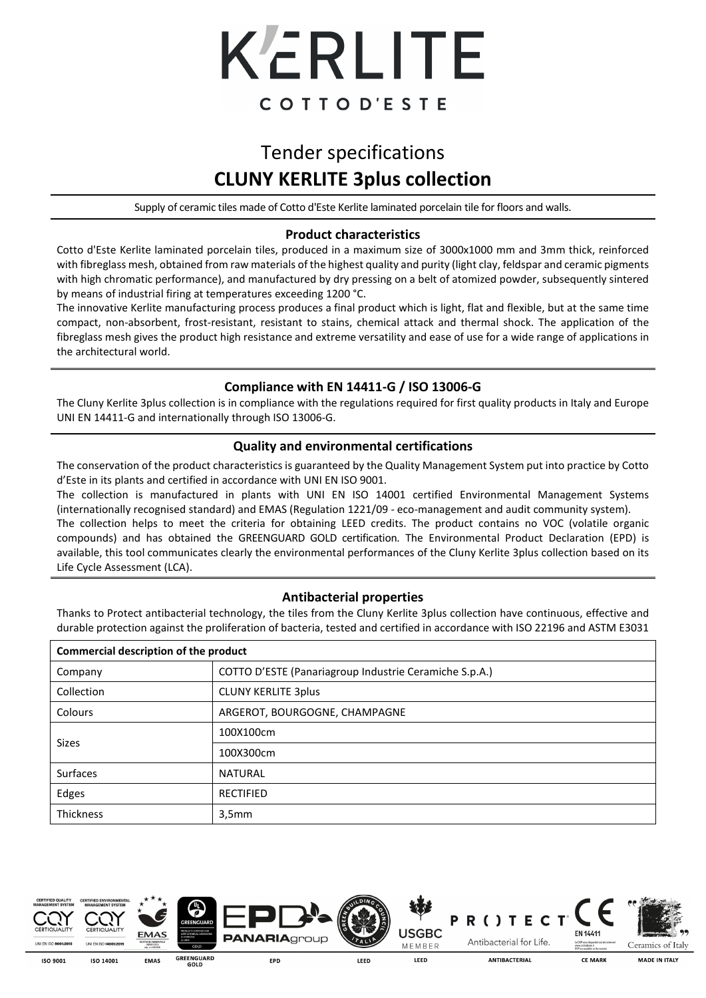

# Tender specifications **CLUNY KERLITE 3plus collection**

Supply of ceramic tiles made of Cotto d'Este Kerlite laminated porcelain tile for floors and walls.

#### **Product characteristics**

Cotto d'Este Kerlite laminated porcelain tiles, produced in a maximum size of 3000x1000 mm and 3mm thick, reinforced with fibreglass mesh, obtained from raw materials of the highest quality and purity (light clay, feldspar and ceramic pigments with high chromatic performance), and manufactured by dry pressing on a belt of atomized powder, subsequently sintered by means of industrial firing at temperatures exceeding 1200 °C.

The innovative Kerlite manufacturing process produces a final product which is light, flat and flexible, but at the same time compact, non-absorbent, frost-resistant, resistant to stains, chemical attack and thermal shock. The application of the fibreglass mesh gives the product high resistance and extreme versatility and ease of use for a wide range of applications in the architectural world.

## **Compliance with EN 14411-G / ISO 13006-G**

The Cluny Kerlite 3plus collection is in compliance with the regulations required for first quality products in Italy and Europe UNI EN 14411-G and internationally through ISO 13006-G.

### **Quality and environmental certifications**

The conservation of the product characteristics is guaranteed by the Quality Management System put into practice by Cotto d'Este in its plants and certified in accordance with UNI EN ISO 9001.

The collection is manufactured in plants with UNI EN ISO 14001 certified Environmental Management Systems (internationally recognised standard) and EMAS (Regulation 1221/09 - eco-management and audit community system).

The collection helps to meet the criteria for obtaining LEED credits. The product contains no VOC (volatile organic compounds) and has obtained the GREENGUARD GOLD certification. The Environmental Product Declaration (EPD) is available, this tool communicates clearly the environmental performances of the Cluny Kerlite 3plus collection based on its Life Cycle Assessment (LCA).

### **Antibacterial properties**

Thanks to Protect antibacterial technology, the tiles from the Cluny Kerlite 3plus collection have continuous, effective and durable protection against the proliferation of bacteria, tested and certified in accordance with ISO 22196 and ASTM E3031

| <b>Commercial description of the product</b> |                                                        |  |  |  |
|----------------------------------------------|--------------------------------------------------------|--|--|--|
| Company                                      | COTTO D'ESTE (Panariagroup Industrie Ceramiche S.p.A.) |  |  |  |
| Collection                                   | <b>CLUNY KERLITE 3plus</b>                             |  |  |  |
| <b>Colours</b>                               | ARGEROT, BOURGOGNE, CHAMPAGNE                          |  |  |  |
| <b>Sizes</b>                                 | 100X100cm                                              |  |  |  |
|                                              | 100X300cm                                              |  |  |  |
| <b>Surfaces</b>                              | <b>NATURAL</b>                                         |  |  |  |
| Edges                                        | <b>RECTIFIED</b>                                       |  |  |  |
| <b>Thickness</b>                             | 3,5mm                                                  |  |  |  |